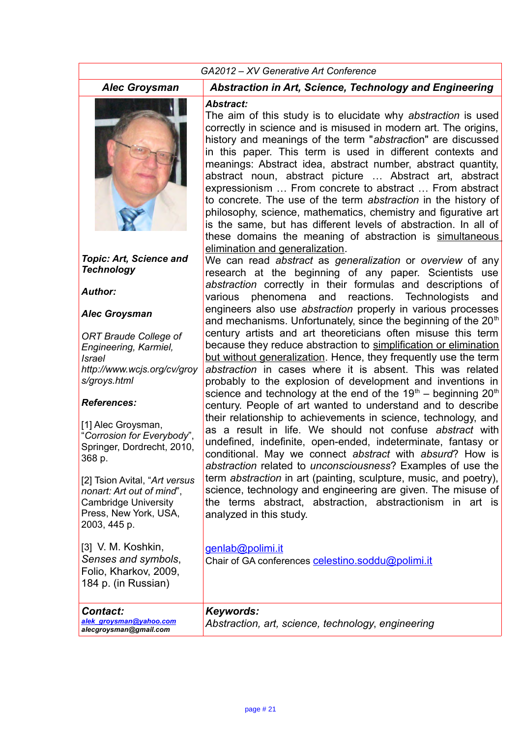#### *GA2012 – XV Generative Art Conference Alec Groysman Abstraction in Art, Science, Technology and Engineering Topic: Art, Science and Technology Author: Alec Groysman ORT Braude College of Engineering, Karmiel, Israel http://www.wcjs.org/cv/groy s/groys.html References:* [1] Alec Grovsman, "*Corrosion for Everybody*", Springer, Dordrecht, 2010, 368 p. [2] Tsion Avital, "*Art versus nonart: Art out of mind*", Cambridge University Press, New York, USA, 2003, 445 p. [3] V. M. Koshkin, *Senses and symbols*, Folio, Kharkov, 2009, *Abstract:* The aim of this study is to elucidate why *abstraction* is used correctly in science and is misused in modern art. The origins, history and meanings of the term "*abstract*ion" are discussed in this paper. This term is used in different contexts and meanings: Abstract idea, abstract number, abstract quantity, abstract noun, abstract picture … Abstract art, abstract expressionism … From concrete to abstract … From abstract to concrete. The use of the term *abstraction* in the history of philosophy, science, mathematics, chemistry and figurative art is the same, but has different levels of abstraction. In all of these domains the meaning of abstraction is simultaneous elimination and generalization. We can read *abstract* as *generalization* or *overview* of any research at the beginning of any paper. Scientists use *abstraction* correctly in their formulas and descriptions of various phenomena and reactions. Technologists and engineers also use *abstraction* properly in various processes and mechanisms. Unfortunately, since the beginning of the  $20<sup>th</sup>$ century artists and art theoreticians often misuse this term because they reduce abstraction to simplification or elimination but without generalization. Hence, they frequently use the term *abstraction* in cases where it is absent. This was related probably to the explosion of development and inventions in science and technology at the end of the  $19<sup>th</sup>$  – beginning  $20<sup>th</sup>$ century. People of art wanted to understand and to describe their relationship to achievements in science, technology, and as a result in life. We should not confuse *abstract* with undefined, indefinite, open-ended, indeterminate, fantasy or conditional. May we connect *abstract* with *absurd*? How is *abstraction* related to *unconsciousness*? Examples of use the term *abstraction* in art (painting, sculpture, music, and poetry), science, technology and engineering are given. The misuse of the terms abstract, abstraction, abstractionism in art is analyzed in this study. [genlab@polimi.it](mailto:genlab@mail.polimi.it) Chair of GA conferences [celestino.soddu@polimi.it](mailto:celestino.soddu@polimi.it)

| <b>Contact:</b><br>alek groysman@yahoo.com<br>alecgroysman@gmail.com | Keywords:<br>Abstraction, art, science, technology, engineering |
|----------------------------------------------------------------------|-----------------------------------------------------------------|

184 p. (in Russian)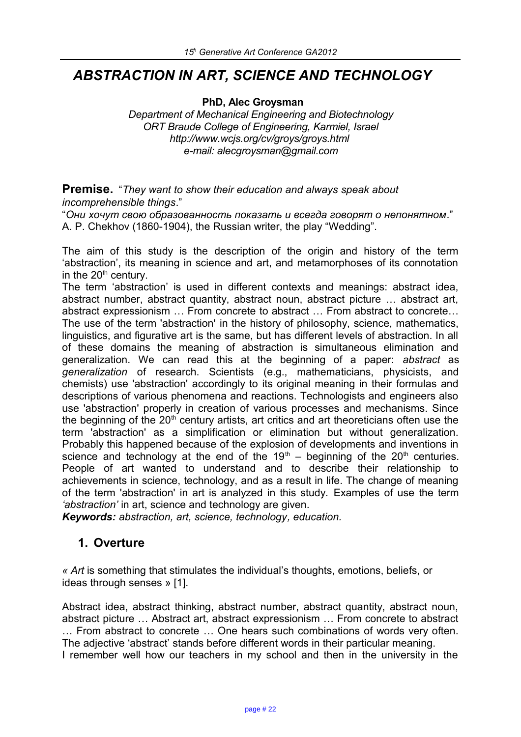# *ABSTRACTION IN ART, SCIENCE AND TECHNOLOGY*

**PhD, Alec Groysman**

*Department of Mechanical Engineering and Biotechnology ORT Braude College of Engineering, Karmiel, Israel http://www.wcjs.org/cv/groys/groys.html e-mail: alecgroysman@gmail.com*

**Premise.** "*They want to show their education and always speak about incomprehensible things*."

"*Они хочут свою образованность показать и всегда говорят о непонятном*." А. P. Chekhov (1860-1904), the Russian writer, the play "Wedding".

The aim of this study is the description of the origin and history of the term 'abstraction', its meaning in science and art, and metamorphoses of its connotation in the  $20<sup>th</sup>$  century.

The term 'abstraction' is used in different contexts and meanings: abstract idea, abstract number, abstract quantity, abstract noun, abstract picture … abstract art, abstract expressionism … From concrete to abstract … From abstract to concrete… The use of the term 'abstraction' in the history of philosophy, science, mathematics, linguistics, and figurative art is the same, but has different levels of abstraction. In all of these domains the meaning of abstraction is simultaneous elimination and generalization. We can read this at the beginning of a paper: *abstract* as *generalization* of research. Scientists (e.g., mathematicians, physicists, and chemists) use 'abstraction' accordingly to its original meaning in their formulas and descriptions of various phenomena and reactions. Technologists and engineers also use 'abstraction' properly in creation of various processes and mechanisms. Since the beginning of the  $20<sup>th</sup>$  century artists, art critics and art theoreticians often use the term 'abstraction' as a simplification or elimination but without generalization. Probably this happened because of the explosion of developments and inventions in science and technology at the end of the  $19<sup>th</sup>$  – beginning of the  $20<sup>th</sup>$  centuries. People of art wanted to understand and to describe their relationship to achievements in science, technology, and as a result in life. The change of meaning of the term 'abstraction' in art is analyzed in this study. Examples of use the term *'abstraction'* in art, science and technology are given.

*Keywords: abstraction, art, science, technology, education.*

#### **1. Overture**

*« Art* is something that stimulates the individual's thoughts, emotions, beliefs, or ideas through senses » [1].

Abstract idea, abstract thinking, abstract number, abstract quantity, abstract noun, abstract picture … Abstract art, abstract expressionism … From concrete to abstract … From abstract to concrete … One hears such combinations of words very often. The adjective 'abstract' stands before different words in their particular meaning. I remember well how our teachers in my school and then in the university in the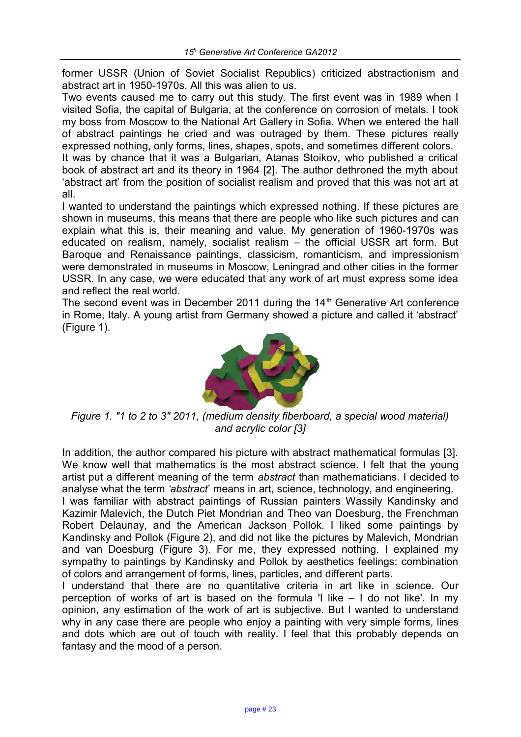former USSR (Union of Soviet Socialist Republics) criticized abstractionism and abstract art in 1950-1970s. All this was alien to us.

Two events caused me to carry out this study. The first event was in 1989 when I visited Sofia, the capital of Bulgaria, at the conference on corrosion of metals. I took my boss from Moscow to the National Art Gallery in Sofia. When we entered the hall of abstract paintings he cried and was outraged by them. These pictures really expressed nothing, only forms, lines, shapes, spots, and sometimes different colors.

It was by chance that it was a Bulgarian, Atanas Stoikov, who published a critical book of abstract art and its theory in 1964 [2]. The author dethroned the myth about 'abstract art' from the position of socialist realism and proved that this was not art at all.

I wanted to understand the paintings which expressed nothing. If these pictures are shown in museums, this means that there are people who like such pictures and can explain what this is, their meaning and value. My generation of 1960-1970s was educated on realism, namely, socialist realism – the official USSR art form. But Baroque and Renaissance paintings, classicism, romanticism, and impressionism were demonstrated in museums in Moscow, Leningrad and other cities in the former USSR. In any case, we were educated that any work of art must express some idea and reflect the real world.

The second event was in December 2011 during the  $14<sup>th</sup>$  Generative Art conference in Rome, Italy. A young artist from Germany showed a picture and called it 'abstract' (Figure 1).



*Figure 1. "1 to 2 to 3" 2011, (medium density fiberboard, a special wood material) and acrylic color [3]*

In addition, the author compared his picture with abstract mathematical formulas [3]. We know well that mathematics is the most abstract science. I felt that the young artist put a different meaning of the term *abstract* than mathematicians. I decided to analyse what the term *'abstract*' means in art, science, technology, and engineering. I was familiar with abstract paintings of Russian painters Wassily Kandinsky and Kazimir Malevich, the Dutch Piet Mondrian and Theo van Doesburg, the Frenchman Robert Delaunay, and the American Jackson Pollok. I liked some paintings by Kandinsky and Pollok (Figure 2), and did not like the pictures by Malevich, Mondrian and van Doesburg (Figure 3). For me, they expressed nothing. I explained my sympathy to paintings by Kandinsky and Pollok by aesthetics feelings: combination of colors and arrangement of forms, lines, particles, and different parts.

I understand that there are no quantitative criteria in art like in science. Our perception of works of art is based on the formula 'I like – I do not like'. In my opinion, any estimation of the work of art is subjective. But I wanted to understand why in any case there are people who enjoy a painting with very simple forms, lines and dots which are out of touch with reality. I feel that this probably depends on fantasy and the mood of a person.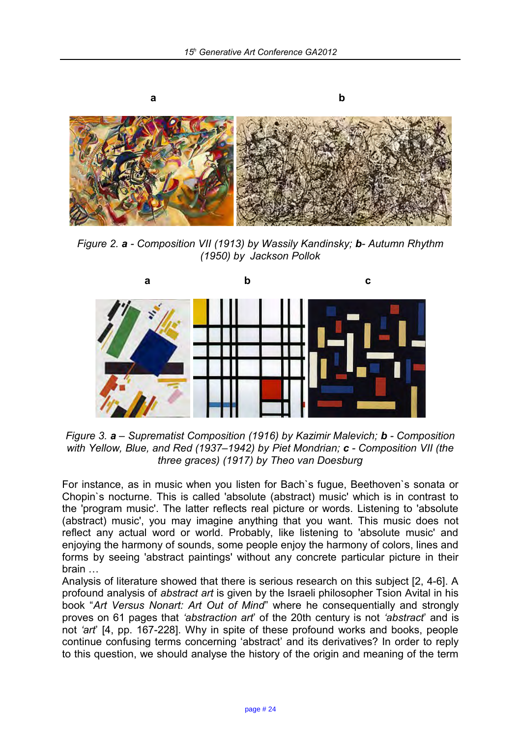

*Figure 2. a - Composition VII (1913) by Wassily Kandinsky; b- Autumn Rhythm (1950) by Jackson Pollok*



*Figure 3. a – Suprematist Composition (1916) by Kazimir Malevich; b - Composition with Yellow, Blue, and Red (1937–1942) by Piet Mondrian; c - Composition VII (the three graces) (1917) by Theo van Doesburg*

For instance, as in music when you listen for Bach`s fugue, Beethoven`s sonata or Chopin`s nocturne. This is called 'absolute (abstract) music' which is in contrast to the 'program music'. The latter reflects real picture or words. Listening to 'absolute (abstract) music', you may imagine anything that you want. This music does not reflect any actual word or world. Probably, like listening to 'absolute music' and enjoying the harmony of sounds, some people enjoy the harmony of colors, lines and forms by seeing 'abstract paintings' without any concrete particular picture in their brain …

Analysis of literature showed that there is serious research on this subject [2, 4-6]. A profound analysis of *abstract art* is given by the Israeli philosopher Tsion Avital in his book "*Art Versus Nonart: Art Out of Mind*" where he consequentially and strongly proves on 61 pages that *'abstraction art*' of the 20th century is not *'abstract*' and is not *'art*' [4, pp. 167-228]. Why in spite of these profound works and books, people continue confusing terms concerning 'abstract' and its derivatives? In order to reply to this question, we should analyse the history of the origin and meaning of the term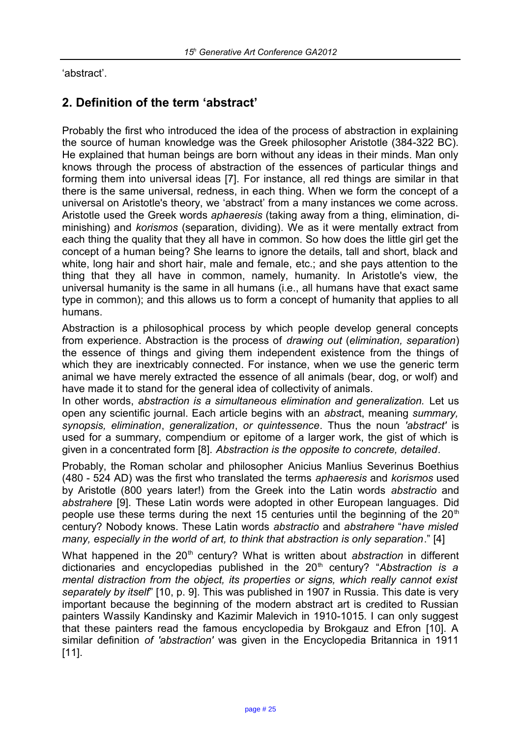'abstract'.

## **2. Definition of the term 'abstract'**

Probably the first who introduced the idea of the process of abstraction in explaining the source of human knowledge was the Greek philosopher Aristotle (384-322 BC). He explained that human beings are born without any ideas in their minds. Man only knows through the process of abstraction of the essences of particular things and forming them into universal ideas [7]. For instance, all red things are similar in that there is the same universal, redness, in each thing. When we form the concept of a universal on Aristotle's theory, we 'abstract' from a many instances we come across. Aristotle used the Greek words *aphaeresis* (taking away from a thing, elimination, diminishing) and *korismos* (separation, dividing). We as it were mentally extract from each thing the quality that they all have in common. So how does the little girl get the concept of a human being? She learns to ignore the details, tall and short, black and white, long hair and short hair, male and female, etc.; and she pays attention to the thing that they all have in common, namely, humanity. In Aristotle's view, the universal humanity is the same in all humans (i.e., all humans have that exact same type in common); and this allows us to form a concept of humanity that applies to all humans.

Abstraction is a philosophical process by which people develop general concepts from experience. Abstraction is the process of *drawing out* (*elimination, separation*) the essence of things and giving them independent existence from the things of which they are inextricably connected. For instance, when we use the generic term animal we have merely extracted the essence of all animals (bear, dog, or wolf) and have made it to stand for the general idea of collectivity of animals.

In other words, *abstraction is a simultaneous elimination and generalization*. Let us open any scientific journal. Each article begins with an *abstrac*t, meaning *summary, synopsis, elimination*, *generalization*, *or quintessence*. Thus the noun *'abstract'* is used for a summary, compendium or epitome of a larger work, the gist of which is given in a concentrated form [8]. *Abstraction is the opposite to concrete, detailed*.

Probably, the Roman scholar and philosopher Anicius Manlius Severinus Boethius (480 - 524 AD) was the first who translated the terms *aphaeresis* and *korismos* used by Aristotle (800 years later!) from the Greek into the Latin words *abstractio* and *abstrahere* [9]. These Latin words were adopted in other European languages. Did people use these terms during the next 15 centuries until the beginning of the  $20<sup>th</sup>$ century? Nobody knows. These Latin words *abstractio* and *abstrahere* "*have misled many, especially in the world of art, to think that abstraction is only separation*." [4]

What happened in the 20<sup>th</sup> century? What is written about *abstraction* in different dictionaries and encyclopedias published in the 20<sup>th</sup> century? "Abstraction is a *mental distraction from the object, its properties or signs, which really cannot exist separately by itself*" [10, p. 9]. This was published in 1907 in Russia. This date is very important because the beginning of the modern abstract art is credited to Russian painters Wassily Kandinsky and Kazimir Malevich in 1910-1015. I can only suggest that these painters read the famous encyclopedia by Brokgauz and Efron [10]. A similar definition *of 'abstraction'* was given in the Encyclopedia Britannica in 1911 [11].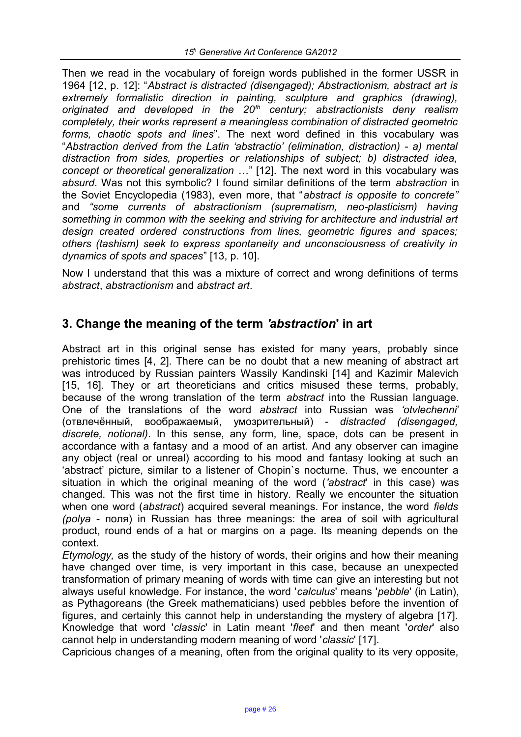Then we read in the vocabulary of foreign words published in the former USSR in 1964 [12, p. 12]: "*Abstract is distracted (disengaged); Abstractionism, abstract art is extremely formalistic direction in painting, sculpture and graphics (drawing), originated and developed in the 20th century; abstractionists deny realism completely, their works represent a meaningless combination of distracted geometric forms, chaotic spots and lines*". The next word defined in this vocabulary was "*Abstraction derived from the Latin 'abstractio' (elimination, distraction) - a) mental distraction from sides, properties or relationships of subject; b) distracted idea, concept or theoretical generalization …*" [12]. The next word in this vocabulary was *absurd*. Was not this symbolic? I found similar definitions of the term *abstraction* in the Soviet Encyclopedia (1983), even more, that "*abstract is opposite to concrete"*  and *"some currents of abstractionism (suprematism, neo-plasticism) having something in common with the seeking and striving for architecture and industrial art design created ordered constructions from lines, geometric figures and spaces; others (tashism) seek to express spontaneity and unconsciousness of creativity in dynamics of spots and spaces*" [13, p. 10].

Now I understand that this was a mixture of correct and wrong definitions of terms *abstract*, *abstractionism* and *abstract art*.

#### **3. Change the meaning of the term** *'abstraction***' in art**

Abstract art in this original sense has existed for many years, probably since prehistoric times [4, 2]. There can be no doubt that a new meaning of abstract art was introduced by Russian painters Wassily Kandinski [14] and Kazimir Malevich [15, 16]. They or art theoreticians and critics misused these terms, probably, because of the wrong translation of the term *abstract* into the Russian language. One of the translations of the word *abstract* into Russian was *'otvlechenni*' (отвлечённый, воображаемый, умозрительный) - *distracted (disengaged, discrete, notional)*. In this sense, any form, line, space, dots can be present in accordance with a fantasy and a mood of an artist. And any observer can imagine any object (real or unreal) according to his mood and fantasy looking at such an 'abstract' picture, similar to a listener of Chopin`s nocturne. Thus, we encounter a situation in which the original meaning of the word (*'abstract*' in this case) was changed. This was not the first time in history. Really we encounter the situation when one word (*abstract*) acquired several meanings. For instance, the word *fields (polya* - поля) in Russian has three meanings: the area of soil with agricultural product, round ends of a hat or margins on a page. Its meaning depends on the context.

*Etymology,* as the study of the history of words, their origins and how their meaning have changed over time, is very important in this case, because an unexpected transformation of primary meaning of words with time can give an interesting but not always useful knowledge. For instance, the word '*calculus*' means '*pebble*' (in Latin), as Pythagoreans (the Greek mathematicians) used pebbles before the invention of figures, and certainly this cannot help in understanding the mystery of algebra [17]. Knowledge that word '*classic*' in Latin meant '*fleet*' and then meant '*order*' also cannot help in understanding modern meaning of word '*classic*' [17].

Capricious changes of a meaning, often from the original quality to its very opposite,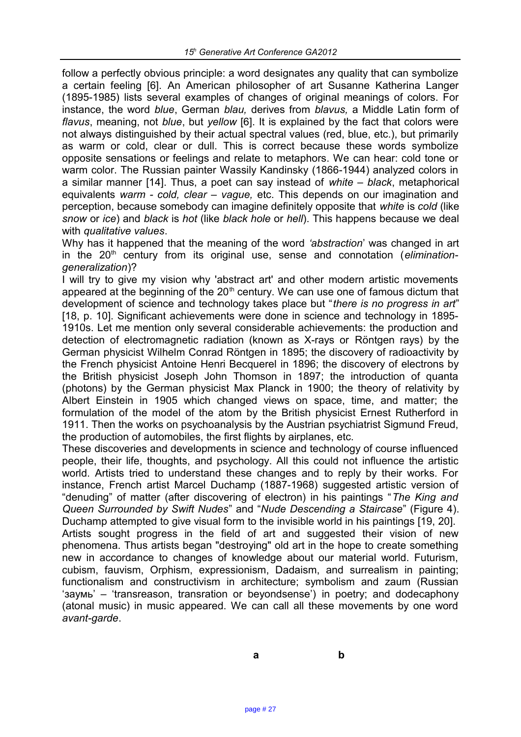follow a perfectly obvious principle: a word designates any quality that can symbolize a certain feeling [6]. An American philosopher of art Susanne Katherina Langer (1895-1985) lists several examples of changes of original meanings of colors. For instance, the word *blue*, German *blau,* derives from *blavus,* a Middle Latin form of *flavus*, meaning, not *blue*, but *yellow* [6]. It is explained by the fact that colors were not always distinguished by their actual spectral values (red, blue, etc.), but primarily as warm or cold, clear or dull. This is correct because these words symbolize opposite sensations or feelings and relate to metaphors. We can hear: cold tone or warm color. The Russian painter Wassily Kandinsky (1866-1944) analyzed colors in a similar manner [14]. Thus, a poet can say instead of *white – black*, metaphorical equivalents *warm - cold, clear* – *vague,* etc. This depends on our imagination and perception, because somebody can imagine definitely opposite that *white* is *cold* (like *snow* or *ice*) and *black* is *hot* (like *black hole* or *hell*). This happens because we deal with *qualitative values*.

Why has it happened that the meaning of the word *'abstraction*' was changed in art in the 20<sup>th</sup> century from its original use, sense and connotation (*eliminationgeneralization*)?

I will try to give my vision why 'abstract art' and other modern artistic movements appeared at the beginning of the  $20<sup>th</sup>$  century. We can use one of famous dictum that development of science and technology takes place but "*there is no progress in art*" [18, p. 10]. Significant achievements were done in science and technology in 1895-1910s. Let me mention only several considerable achievements: the production and detection of electromagnetic radiation (known as X-rays or Röntgen rays) by the German physicist Wilhelm Conrad Röntgen in 1895; the discovery of radioactivity by the French physicist Antoine Henri Becquerel in 1896; the discovery of electrons by the British physicist Joseph John Thomson in 1897; the introduction of quanta (photons) by the German physicist Max Planck in 1900; the theory of relativity by Albert Einstein in 1905 which changed views on space, time, and matter; the formulation of the model of the atom by the British physicist Ernest Rutherford in 1911. Then the works on psychoanalysis by the Austrian psychiatrist Sigmund Freud, the production of automobiles, the first flights by airplanes, etc.

These discoveries and developments in science and technology of course influenced people, their life, thoughts, and psychology. All this could not influence the artistic world. Artists tried to understand these changes and to reply by their works. For instance, French artist Marcel Duchamp (1887-1968) suggested artistic version of "denuding" of matter (after discovering of electron) in his paintings "*The King and Queen Surrounded by Swift Nudes*" and "*Nude Descending a Staircase*" (Figure 4). Duchamp attempted to give visual form to the invisible world in his paintings [19, 20]. Artists sought progress in the field of art and suggested their vision of new phenomena. Thus artists began "destroying" old art in the hope to create something new in accordance to changes of knowledge about our material world. Futurism, cubism, fauvism, Orphism, expressionism, Dadaism, and surrealism in painting; functionalism and constructivism in architecture; symbolism and zaum (Russian 'заумь' – 'transreason, transration or beyondsense') in poetry; and dodecaphony (atonal music) in music appeared. We can call all these movements by one word *avant-garde*.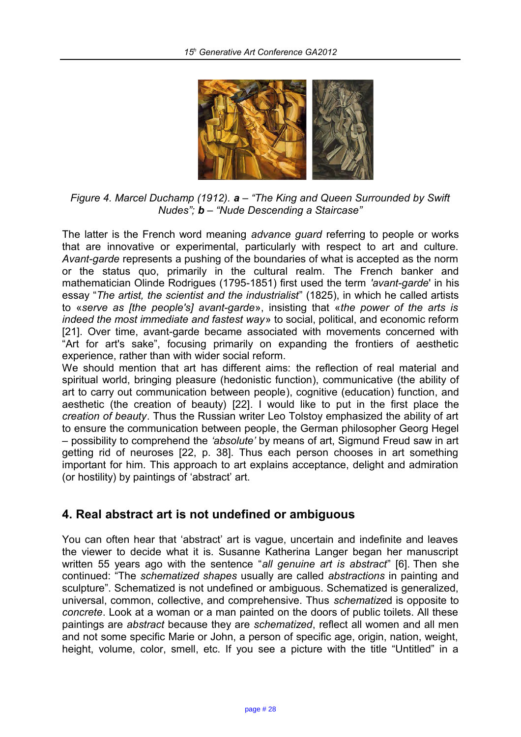

*Figure 4. Marcel Duchamp (1912). a – "The King and Queen Surrounded by Swift Nudes"; b – "Nude Descending a Staircase"*

The latter is the French word meaning *advance guard* referring to people or works that are innovative or experimental, particularly with respect to art and culture. *Avant-garde* represents a pushing of the boundaries of what is accepted as the norm or the status quo, primarily in the cultural realm. The French banker and mathematician Olinde Rodrigues (1795-1851) first used the term *'avant-garde*' in his essay "*The artist, the scientist and the industrialist*" (1825), in which he called artists to «*serve as [the people's] avant-garde*», insisting that «*the power of the arts is indeed the most immediate and fastest way*» to social, political, and economic reform [21]. Over time, avant-garde became associated with movements concerned with "Art for art's sake", focusing primarily on expanding the frontiers of aesthetic experience, rather than with wider social reform.

We should mention that art has different aims: the reflection of real material and spiritual world, bringing pleasure (hedonistic function), communicative (the ability of art to carry out communication between people), cognitive (education) function, and aesthetic (the creation of beauty) [22]. I would like to put in the first place the *creation of beauty*. Thus the Russian writer Leo Tolstoy emphasized the ability of art to ensure the communication between people, the German philosopher Georg Hegel – possibility to comprehend the *'absolute'* by means of art, Sigmund Freud saw in art getting rid of neuroses [22, p. 38]. Thus each person chooses in art something important for him. This approach to art explains acceptance, delight and admiration (or hostility) by paintings of 'abstract' art.

#### **4. Real abstract art is not undefined or ambiguous**

You can often hear that 'abstract' art is vague, uncertain and indefinite and leaves the viewer to decide what it is. Susanne Katherina Langer began her manuscript written 55 years ago with the sentence "*all genuine art is abstract*" [6]. Then she continued: "The *schematized shapes* usually are called *abstractions* in painting and sculpture". Schematized is not undefined or ambiguous. Schematized is generalized, universal, common, collective, and comprehensive. Thus *schematize*d is opposite to *concrete*. Look at a woman or a man painted on the doors of public toilets. All these paintings are *abstract* because they are *schematized*, reflect all women and all men and not some specific Marie or John, a person of specific age, origin, nation, weight, height, volume, color, smell, etc. If you see a picture with the title "Untitled" in a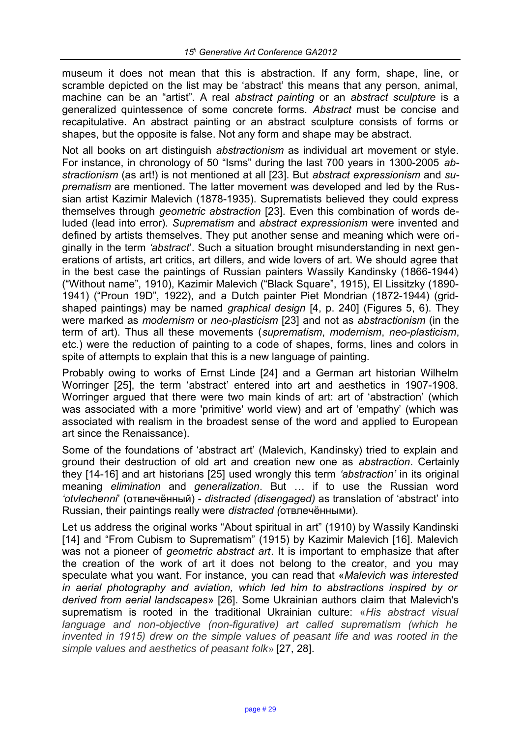museum it does not mean that this is abstraction. If any form, shape, line, or scramble depicted on the list may be 'abstract' this means that any person, animal, machine can be an "artist". A real *abstract painting* or an *abstract sculpture* is a generalized quintessence of some concrete forms. *Abstract* must be concise and recapitulative. An abstract painting or an abstract sculpture consists of forms or shapes, but the opposite is false. Not any form and shape may be abstract.

Not all books on art distinguish *abstractionism* as individual art movement or style. For instance, in chronology of 50 "Isms" during the last 700 years in 1300-2005 *abstractionism* (as art!) is not mentioned at all [23]. But *abstract expressionism* and *suprematism* are mentioned. The latter movement was developed and led by the Russian artist Kazimir Malevich (1878-1935). Suprematists believed they could express themselves through *geometric abstraction* [23]. Even this combination of words deluded (lead into error). *Suprematism* and *abstract expressionism* were invented and defined by artists themselves. They put another sense and meaning which were originally in the term *'abstract*'. Such a situation brought misunderstanding in next generations of artists, art critics, art dillers, and wide lovers of art. We should agree that in the best case the paintings of Russian painters Wassily Kandinsky (1866-1944) ("Without name", 1910), Kazimir Malevich ("Black Square", 1915), El Lissitzky (1890- 1941) ("Proun 19D", 1922), and a Dutch painter Piet Mondrian (1872-1944) (gridshaped paintings) may be named *graphical design* [4, p. 240] (Figures 5, 6). They were marked as *modernism* or *neo-plasticism* [23] and not as *abstractionism* (in the term of art). Thus all these movements (*suprematism*, *modernism*, *neo-plasticism*, etc.) were the reduction of painting to a code of shapes, forms, lines and colors in spite of attempts to explain that this is a new language of painting.

Probably owing to works of Ernst Linde [24] and a German art historian Wilhelm Worringer [25], the term 'abstract' entered into art and aesthetics in 1907-1908. Worringer argued that there were two main kinds of art: art of 'abstraction' (which was associated with a more 'primitive' world view) and art of 'empathy' (which was associated with realism in the broadest sense of the word and applied to European art since the Renaissance).

Some of the foundations of 'abstract art' (Malevich, Kandinsky) tried to explain and ground their destruction of old art and creation new one as *abstraction*. Certainly they [14-16] and art historians [25] used wrongly this term *'abstraction'* in its original meaning *elimination* and *generalization*. But … if to use the Russian word *'otvlechenni*' (отвлечённый) - *distracted (disengaged)* as translation of 'abstract' into Russian, their paintings really were *distracted (*отвлечёнными)*.*

Let us address the original works "About spiritual in art" (1910) by Wassily Kandinski [14] and "From Cubism to Suprematism" (1915) by Kazimir Malevich [16]. Malevich was not a pioneer of *geometric abstract art*. It is important to emphasize that after the creation of the work of art it does not belong to the creator, and you may speculate what you want. For instance, you can read that «*Malevich was interested in aerial photography and aviation, which led him to abstractions inspired by or derived from aerial landscapes*» [26]. Some Ukrainian authors claim that Malevich's suprematism is rooted in the traditional Ukrainian culture: «*His abstract visual language and non-objective (non-figurative) art called suprematism (which he invented in 1915) drew on the simple values of* peasant life and was rooted in the simple values and aesthetics of peasant folk» [27, 28].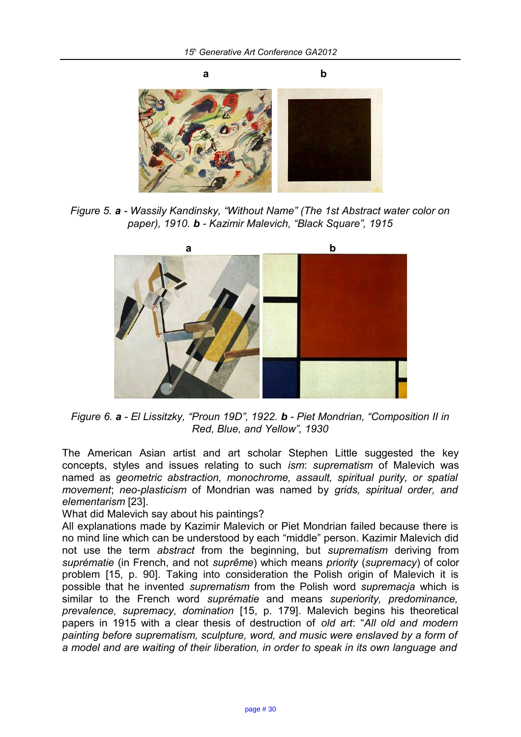

*Figure 5. a - Wassily Kandinsky, "Without Name" (The 1st Abstract water color on paper), 1910. b - Kazimir Malevich, "Black Square", 1915*



*Figure 6. a - El Lissitzky, "Proun 19D", 1922. b - Piet Mondrian, "Composition II in Red, Blue, and Yellow", 1930*

The American Asian artist and art scholar Stephen Little suggested the key concepts, styles and issues relating to such *ism*: *suprematism* of Malevich was named as *geometric abstraction, monochrome, assault, spiritual purity, or spatial movement*; *neo-plasticism* of Mondrian was named by *grids, spiritual order, and elementarism* [23].

What did Malevich say about his paintings?

All explanations made by Kazimir Malevich or Piet Mondrian failed because there is no mind line which can be understood by each "middle" person. Kazimir Malevich did not use the term *abstract* from the beginning, but *suprematism* deriving from *suprématie* (in French, and not *suprême*) which means *priority* (*supremacy*) of color problem [15, p. 90]. Taking into consideration the Polish origin of Malevich it is possible that he invented *suprematism* from the Polish word *supremacja* which is similar to the French word *suprématie* and means *superiority, predominance, prevalence, supremacy, domination* [15, p. 179]. Malevich begins his theoretical papers in 1915 with a clear thesis of destruction of *old art*: "*All old and modern painting before suprematism, sculpture, word, and music were enslaved by a form of a model and are waiting of their liberation, in order to speak in its own language and*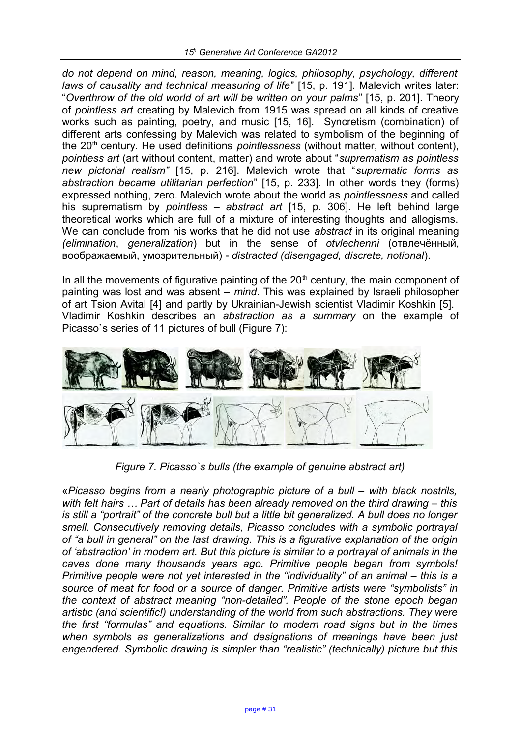*do not depend on mind, reason, meaning, logics, philosophy, psychology, different laws of causality and technical measuring of life*" [15, p. 191]. Malevich writes later: "*Overthrow of the old world of art will be written on your palms*" [15, p. 201]. Theory of *pointless art* creating by Malevich from 1915 was spread on all kinds of creative works such as painting, poetry, and music [15, 16]. Syncretism (combination) of different arts confessing by Malevich was related to symbolism of the beginning of the 20<sup>th</sup> century. He used definitions *pointlessness* (without matter, without content), *pointless art* (art without content, matter) and wrote about "*suprematism as pointless new pictorial realism"* [15, p. 216]. Malevich wrote that "*suprematic forms as abstraction became utilitarian perfection*" [15, p. 233]. In other words they (forms) expressed nothing, zero. Malevich wrote about the world as *pointlessness* and called his suprematism by *pointless – abstract art* [15, p. 306]. He left behind large theoretical works which are full of a mixture of interesting thoughts and allogisms. We can conclude from his works that he did not use *abstract* in its original meaning *(elimination*, *generalization*) but in the sense of *otvlechenni* (отвлечённый, воображаемый, умозрительный) - *distracted (disengaged, discrete, notional*).

In all the movements of figurative painting of the  $20<sup>th</sup>$  century, the main component of painting was lost and was absent – *mind*. This was explained by Israeli philosopher of art Tsion Avital [4] and partly by Ukrainian-Jewish scientist Vladimir Koshkin [5]. Vladimir Koshkin describes an *abstraction as a summary* on the example of Picasso`s series of 11 pictures of bull (Figure 7):



*Figure 7. Picasso`s bulls (the example of genuine abstract art)*

«*Picasso begins from a nearly photographic picture of a bull – with black nostrils, with felt hairs … Part of details has been already removed on the third drawing – this is still a "portrait" of the concrete bull but a little bit generalized. A bull does no longer smell. Consecutively removing details, Picasso concludes with a symbolic portrayal of "a bull in general" on the last drawing. This is a figurative explanation of the origin of 'abstraction' in modern art. But this picture is similar to a portrayal of animals in the caves done many thousands years ago. Primitive people began from symbols! Primitive people were not yet interested in the "individuality" of an animal – this is a source of meat for food or a source of danger. Primitive artists were "symbolists" in the context of abstract meaning "non-detailed". People of the stone epoch began artistic (and scientific!) understanding of the world from such abstractions. They were the first "formulas" and equations. Similar to modern road signs but in the times when symbols as generalizations and designations of meanings have been just engendered. Symbolic drawing is simpler than "realistic" (technically) picture but this*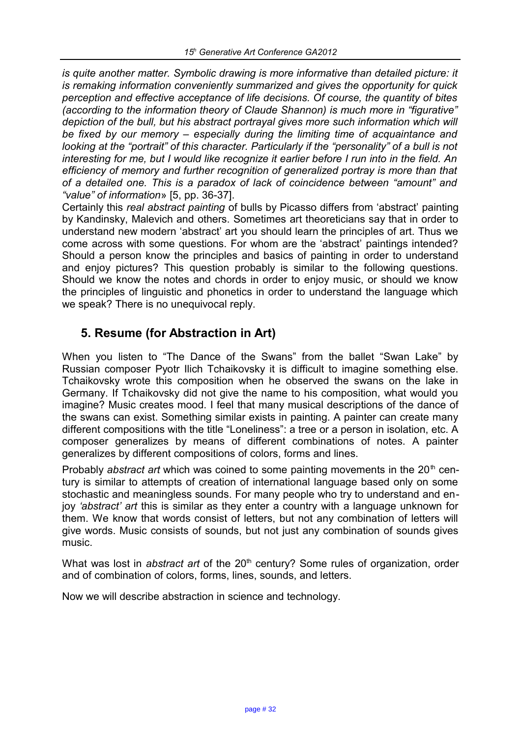*is quite another matter. Symbolic drawing is more informative than detailed picture: it is remaking information conveniently summarized and gives the opportunity for quick perception and effective acceptance of life decisions. Of course, the quantity of bites (according to the information theory of Claude Shannon) is much more in "figurative" depiction of the bull, but his abstract portrayal gives more such information which will be fixed by our memory – especially during the limiting time of acquaintance and looking at the "portrait" of this character. Particularly if the "personality" of a bull is not interesting for me, but I would like recognize it earlier before I run into in the field. An efficiency of memory and further recognition of generalized portray is more than that of a detailed one. This is a paradox of lack of coincidence between "amount" and "value" of information*» [5, pp. 36-37].

Certainly this *real abstract painting* of bulls by Picasso differs from 'abstract' painting by Kandinsky, Malevich and others. Sometimes art theoreticians say that in order to understand new modern 'abstract' art you should learn the principles of art. Thus we come across with some questions. For whom are the 'abstract' paintings intended? Should a person know the principles and basics of painting in order to understand and enjoy pictures? This question probably is similar to the following questions. Should we know the notes and chords in order to enjoy music, or should we know the principles of linguistic and phonetics in order to understand the language which we speak? There is no unequivocal reply.

## **5. Resume (for Abstraction in Art)**

When you listen to "The Dance of the Swans" from the ballet "Swan Lake" by Russian composer Pyotr Ilich Tchaikovsky it is difficult to imagine something else. Tchaikovsky wrote this composition when he observed the swans on the lake in Germany. If Tchaikovsky did not give the name to his composition, what would you imagine? Music creates mood. I feel that many musical descriptions of the dance of the swans can exist. Something similar exists in painting. A painter can create many different compositions with the title "Loneliness": a tree or a person in isolation, etc. A composer generalizes by means of different combinations of notes. A painter generalizes by different compositions of colors, forms and lines.

Probably *abstract art* which was coined to some painting movements in the 20<sup>th</sup> century is similar to attempts of creation of international language based only on some stochastic and meaningless sounds. For many people who try to understand and enjoy *'abstract' art* this is similar as they enter a country with a language unknown for them. We know that words consist of letters, but not any combination of letters will give words. Music consists of sounds, but not just any combination of sounds gives music.

What was lost in *abstract art* of the 20<sup>th</sup> century? Some rules of organization, order and of combination of colors, forms, lines, sounds, and letters.

Now we will describe abstraction in science and technology.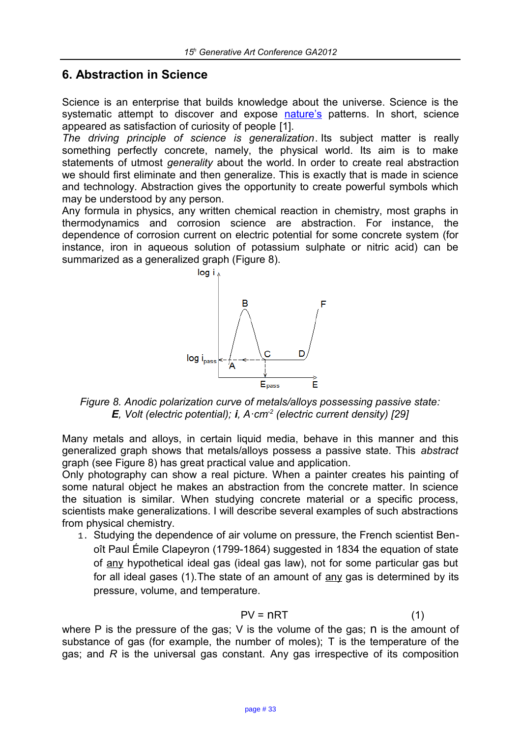#### **6. Abstraction in Science**

Science is an enterprise that builds knowledge about the universe. Science is the systematic attempt to discover and expose [nature's](http://en.wikipedia.org/wiki/Nature) patterns. In short, science appeared as satisfaction of curiosity of people [1].

*The driving principle of science is generalization*. Its subject matter is really something perfectly concrete, namely, the physical world. Its aim is to make statements of utmost *generality* about the world. In order to create real abstraction we should first eliminate and then generalize. This is exactly that is made in science and technology. Abstraction gives the opportunity to create powerful symbols which may be understood by any person.

Any formula in physics, any written chemical reaction in chemistry, most graphs in thermodynamics and corrosion science are abstraction. For instance, the dependence of corrosion current on electric potential for some concrete system (for instance, iron in aqueous solution of potassium sulphate or nitric acid) can be summarized as a generalized graph (Figure 8).



*Figure 8. Anodic polarization curve of metals/alloys possessing passive state: E, Volt (electric potential); i, A·cm-2 (electric current density) [29]*

Many metals and alloys, in certain liquid media, behave in this manner and this generalized graph shows that metals/alloys possess a passive state. This *abstract*  graph (see Figure 8) has great practical value and application.

Only photography can show a real picture. When a painter creates his painting of some natural object he makes an abstraction from the concrete matter. In science the situation is similar. When studying concrete material or a specific process, scientists make generalizations. I will describe several examples of such abstractions from physical chemistry.

1. Studying the dependence of air volume on pressure, the French scientist Benoît Paul Émile Clapeyron (1799-1864) suggested in 1834 the equation of state of any hypothetical ideal gas (ideal gas law), not for some particular gas but for all ideal gases  $(1)$ . The state of an amount of  $\frac{\text{any}}{\text{day}}$  gas is determined by its pressure, volume, and temperature.

$$
PV = nRT
$$
 (1)

where P is the pressure of the gas; V is the volume of the gas; n is the amount of substance of gas (for example, the number of moles); T is the temperature of the gas; and *R* is the universal gas constant. Any gas irrespective of its composition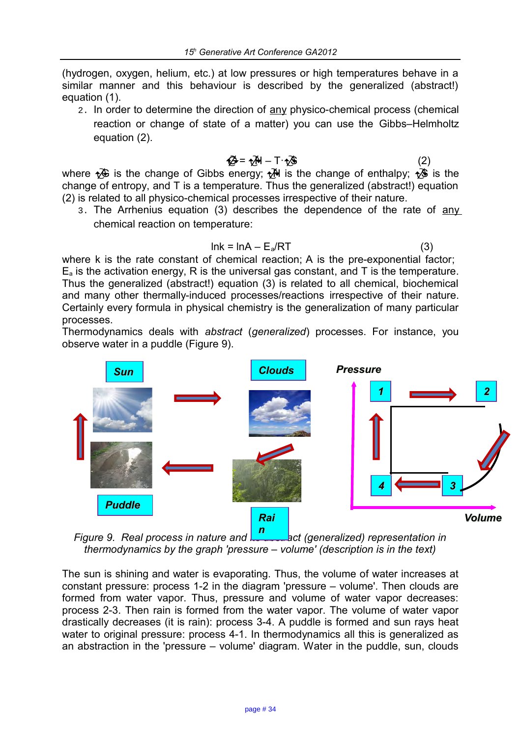(hydrogen, oxygen, helium, etc.) at low pressures or high temperatures behave in a similar manner and this behaviour is described by the generalized (abstract!) equation (1).

2. In order to determine the direction of any physico-chemical process (chemical reaction or change of state of a matter) you can use the Gibbs–Helmholtz equation (2).

where 
$$
\sqrt{2}
$$
 is the change of Gibbs energy;  $\sqrt{3}$  is the change of enthalpy;  $\sqrt{3}$  is the change of entropy, and T is a temperature. Thus the generalized (abstract!) equation (2) is related to all physico-chemical processes irrespective of their nature.

3. The Arrhenius equation (3) describes the dependence of the rate of any chemical reaction on temperature:

$$
lnk = lnA - E_a/RT
$$
 (3)

where k is the rate constant of chemical reaction; A is the pre-exponential factor;  $E<sub>a</sub>$  is the activation energy, R is the universal gas constant, and T is the temperature. Thus the generalized (abstract!) equation (3) is related to all chemical, biochemical and many other thermally-induced processes/reactions irrespective of their nature. Certainly every formula in physical chemistry is the generalization of many particular processes.

Thermodynamics deals with *abstract* (*generalized*) processes. For instance, you observe water in a puddle (Figure 9).



*Figure 9. Real process in nature and its abstract (generalized) representation in thermodynamics by the graph 'pressure – volume' (description is in the text)*

The sun is shining and water is evaporating. Thus, the volume of water increases at constant pressure: process 1-2 in the diagram 'pressure – volume'. Then clouds are formed from water vapor. Thus, pressure and volume of water vapor decreases: process 2-3. Then rain is formed from the water vapor. The volume of water vapor drastically decreases (it is rain): process 3-4. A puddle is formed and sun rays heat water to original pressure: process 4-1. In thermodynamics all this is generalized as an abstraction in the 'pressure – volume' diagram. Water in the puddle, sun, clouds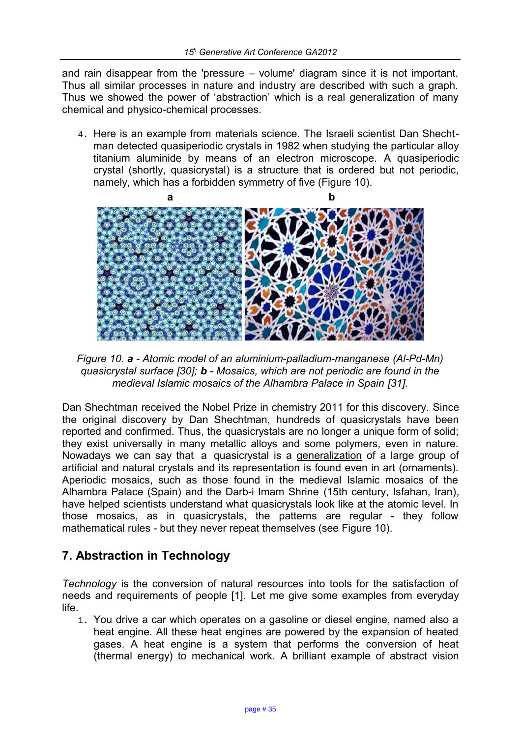and rain disappear from the 'pressure – volume' diagram since it is not important. Thus all similar processes in nature and industry are described with such a graph. Thus we showed the power of 'abstraction' which is a real generalization of many chemical and physico-chemical processes.

4. Here is an example from materials science. The Israeli scientist Dan Shechtman detected quasiperiodic crystals in 1982 when studying the particular alloy titanium aluminide by means of an electron microscope. A quasiperiodic crystal (shortly, quasicrystal) is a structure that is ordered but not periodic, namely, which has a forbidden symmetry of five (Figure 10).



*Figure 10. a - Atomic model of an aluminium-palladium-manganese (Al-Pd-Mn) quasicrystal surface [30]; b - Mosaics, which are not periodic are found in the medieval Islamic mosaics of the Alhambra Palace in Spain [31].*

Dan Shechtman received the Nobel Prize in chemistry 2011 for this discovery. Since the original discovery by Dan Shechtman, hundreds of quasicrystals have been reported and confirmed. Thus, the quasicrystals are no longer a unique form of solid; they exist universally in many metallic alloys and some polymers, even in nature. Nowadays we can say that a quasicrystal is a generalization of a large group of artificial and natural crystals and its representation is found even in art (ornaments). Aperiodic mosaics, such as those found in the medieval Islamic mosaics of the Alhambra Palace (Spain) and the Darb-i Imam Shrine (15th century, Isfahan, Iran), have helped scientists understand what quasicrystals look like at the atomic level. In those mosaics, as in quasicrystals, the patterns are regular - they follow mathematical rules - but they never repeat themselves (see Figure 10).

## **7. Abstraction in Technology**

*Technology* is the conversion of natural resources into tools for the satisfaction of needs and requirements of people [1]. Let me give some examples from everyday life.

1. You drive a car which operates on a gasoline or diesel engine, named also a heat engine. All these heat engines are powered by the expansion of heated gases. A heat engine is a system that performs the conversion of heat (thermal energy) to mechanical work. A brilliant example of abstract vision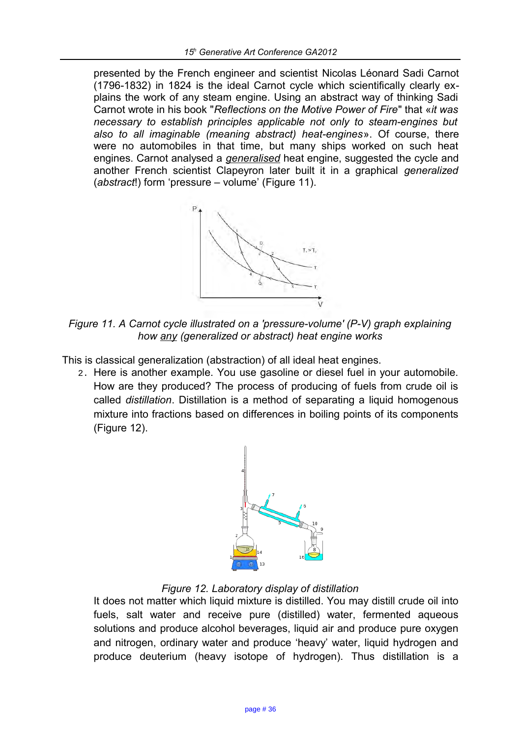presented by the French engineer and scientist Nicolas Léonard Sadi Carnot (1796-1832) in 1824 is the ideal Carnot cycle which scientifically clearly explains the work of any steam engine. Using an abstract way of thinking Sadi Carnot wrote in his book "*Reflections on the Motive Power of Fire*" that «*it was necessary to establish principles applicable not only to steam-engines but also to all imaginable (meaning abstract) heat-engines*». Of course, there were no automobiles in that time, but many ships worked on such heat engines. Carnot analysed a *generalised* heat engine, suggested the cycle and another French scientist Clapeyron later built it in a graphical *generalized*  (*abstract*!) form 'pressure – volume' (Figure 11).



*Figure 11. A Carnot cycle illustrated on a 'pressure-volume' (P-V) graph explaining how any (generalized or abstract) heat engine works*

This is classical generalization (abstraction) of all ideal heat engines.

2. Here is another example. You use gasoline or diesel fuel in your automobile. How are they produced? The process of producing of fuels from crude oil is called *distillation*. Distillation is a method of separating a liquid homogenous mixture into fractions based on differences in boiling points of its components (Figure 12).



#### *Figure 12. Laboratory display of distillation*

It does not matter which liquid mixture is distilled. You may distill crude oil into fuels, salt water and receive pure (distilled) water, fermented aqueous solutions and produce alcohol beverages, liquid air and produce pure oxygen and nitrogen, ordinary water and produce 'heavy' water, liquid hydrogen and produce deuterium (heavy isotope of hydrogen). Thus distillation is a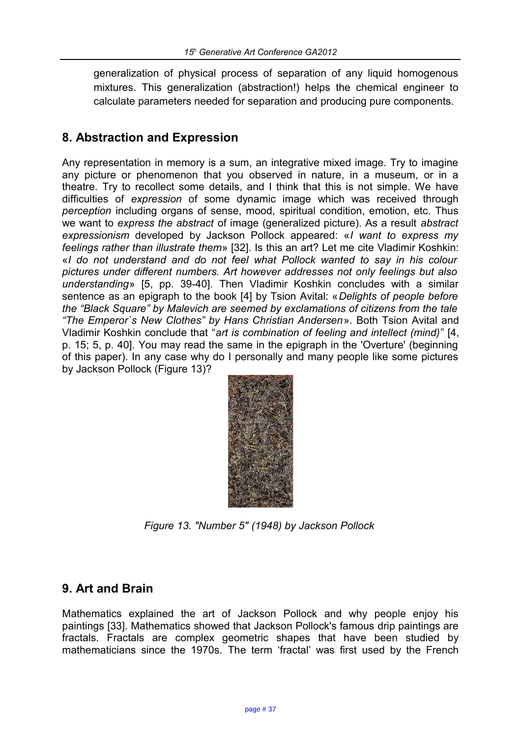generalization of physical process of separation of any liquid homogenous mixtures. This generalization (abstraction!) helps the chemical engineer to calculate parameters needed for separation and producing pure components.

#### **8. Abstraction and Expression**

Any representation in memory is a sum, an integrative mixed image. Try to imagine any picture or phenomenon that you observed in nature, in a museum, or in a theatre. Try to recollect some details, and I think that this is not simple. We have difficulties of *expression* of some dynamic image which was received through *perception* including organs of sense, mood, spiritual condition, emotion, etc. Thus we want to *express the abstract* of image (generalized picture). As a result *abstract expressionism* developed by Jackson Pollock appeared: «*I want to express my feelings rather than illustrate them*» [32]. Is this an art? Let me cite Vladimir Koshkin: «*I do not understand and do not feel what Pollock wanted to say in his colour pictures under different numbers. Art however addresses not only feelings but also understanding*» [5, pp. 39-40]. Then Vladimir Koshkin concludes with a similar sentence as an epigraph to the book [4] by Tsion Avital: «*Delights of people before the "Black Square" by Malevich are seemed by exclamations of citizens from the tale "The Emperor`s New Clothes" by Hans Christian Andersen*». Both Tsion Avital and Vladimir Koshkin conclude that "*art is combination of feeling and intellect (mind)*" [4, p. 15; 5, p. 40]. You may read the same in the epigraph in the 'Overture' (beginning of this paper). In any case why do I personally and many people like some pictures by Jackson Pollock (Figure 13)?



*Figure 13. "Number 5" (1948) by Jackson Pollock* 

#### **9. Art and Brain**

Mathematics explained the art of Jackson Pollock and why people enjoy his paintings [33]. Mathematics showed that Jackson Pollock's famous drip paintings are fractals. Fractals are complex geometric shapes that have been studied by mathematicians since the 1970s. The term 'fractal' was first used by the French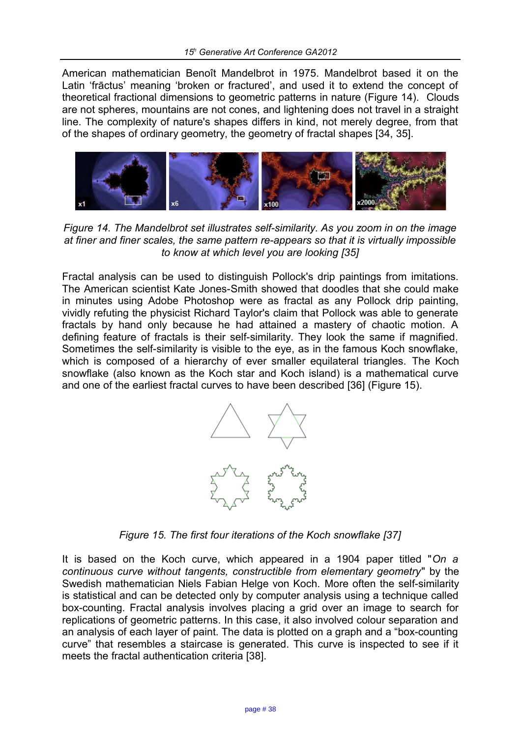American mathematician Benoît Mandelbrot in 1975. Mandelbrot based it on the Latin 'frāctus' meaning 'broken or fractured', and used it to extend the concept of theoretical fractional dimensions to geometric patterns in nature (Figure 14). Clouds are not spheres, mountains are not cones, and lightening does not travel in a straight line. The complexity of nature's shapes differs in kind, not merely degree, from that of the shapes of ordinary geometry, the geometry of fractal shapes [34, 35].



*Figure 14. The Mandelbrot set illustrates self-similarity. As you zoom in on the image at finer and finer scales, the same pattern re-appears so that it is virtually impossible to know at which level you are looking [35]*

Fractal analysis can be used to distinguish Pollock's drip paintings from imitations. The American scientist Kate Jones-Smith showed that doodles that she could make in minutes using Adobe Photoshop were as fractal as any Pollock drip painting, vividly refuting the physicist Richard Taylor's claim that Pollock was able to generate fractals by hand only because he had attained a mastery of chaotic motion. A defining feature of fractals is their self-similarity. They look the same if magnified. Sometimes the self-similarity is visible to the eye, as in the famous Koch snowflake, which is composed of a hierarchy of ever smaller equilateral triangles. The Koch snowflake (also known as the Koch star and Koch island) is a mathematical curve and one of the earliest fractal curves to have been described [36] (Figure 15).



*Figure 15. The first four iterations of the Koch snowflake [37]*

It is based on the Koch curve, which appeared in a 1904 paper titled "*On a continuous curve without tangents, constructible from elementary geometry*" by the Swedish mathematician Niels Fabian Helge von Koch. More often the self-similarity is statistical and can be detected only by computer analysis using a technique called box-counting. Fractal analysis involves placing a grid over an image to search for replications of geometric patterns. In this case, it also involved colour separation and an analysis of each layer of paint. The data is plotted on a graph and a "box-counting curve" that resembles a staircase is generated. This curve is inspected to see if it meets the fractal authentication criteria [38].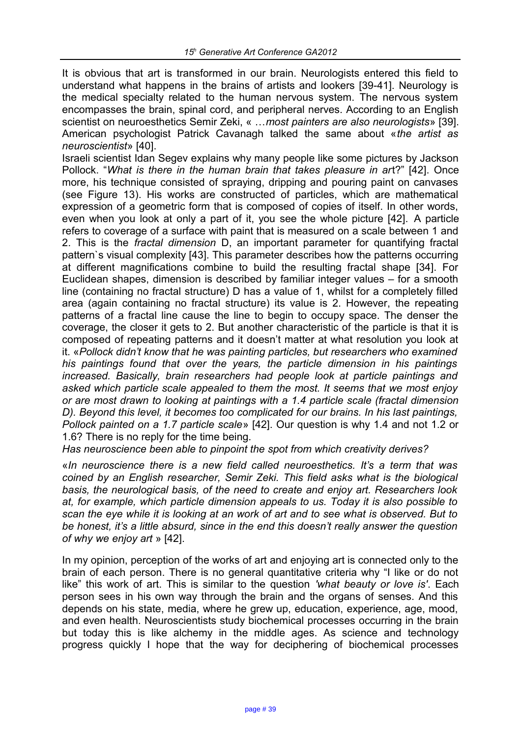It is obvious that art is transformed in our brain. Neurologists entered this field to understand what happens in the brains of artists and lookers [39-41]. Neurology is the medical specialty related to the human nervous system. The nervous system encompasses the brain, spinal cord, and peripheral nerves. According to an English scientist on neuroesthetics Semir Zeki, « …*most painters are also neurologists*» [39]. American psychologist Patrick Cavanagh talked the same about «*the artist as neuroscientist*» [40].

Israeli scientist Idan Segev explains why many people like some pictures by Jackson Pollock. "*What is there in the human brain that takes pleasure in ar*t?" [42]. Once more, his technique consisted of spraying, dripping and pouring paint on canvases (see Figure 13). His works are constructed of particles, which are mathematical expression of a geometric form that is composed of copies of itself. In other words, even when you look at only a part of it, you see the whole picture [42]. A particle refers to coverage of a surface with paint that is measured on a scale between 1 and 2. This is the *fractal dimension* D, an important parameter for quantifying fractal pattern`s visual complexity [43]. This parameter describes how the patterns occurring at different magnifications combine to build the resulting fractal shape [34]. For Euclidean shapes, dimension is described by familiar integer values – for a smooth line (containing no fractal structure) D has a value of 1, whilst for a completely filled area (again containing no fractal structure) its value is 2. However, the repeating patterns of a fractal line cause the line to begin to occupy space. The denser the coverage, the closer it gets to 2. But another characteristic of the particle is that it is composed of repeating patterns and it doesn't matter at what resolution you look at it. «*Pollock didn't know that he was painting particles, but researchers who examined his paintings found that over the years, the particle dimension in his paintings increased. Basically, brain researchers had people look at particle paintings and asked which particle scale appealed to them the most. It seems that we most enjoy or are most drawn to looking at paintings with a 1.4 particle scale (fractal dimension D). Beyond this level, it becomes too complicated for our brains. In his last paintings, Pollock painted on a 1.7 particle scale*» [42]. Our question is why 1.4 and not 1.2 or 1.6? There is no reply for the time being.

*Has neuroscience been able to pinpoint the spot from which creativity derives?*

«*In neuroscience there is a new field called neuroesthetics. It's a term that was coined by an English researcher, Semir Zeki. This field asks what is the biological basis, the neurological basis, of the need to create and enjoy art. Researchers look at, for example, which particle dimension appeals to us. Today it is also possible to scan the eye while it is looking at an work of art and to see what is observed. But to be honest, it's a little absurd, since in the end this doesn't really answer the question of why we enjoy art* » [42].

In my opinion, perception of the works of art and enjoying art is connected only to the brain of each person. There is no general quantitative criteria why "I like or do not like" this work of art. This is similar to the question *'what beauty or love is'*. Each person sees in his own way through the brain and the organs of senses. And this depends on his state, media, where he grew up, education, experience, age, mood, and even health. Neuroscientists study biochemical processes occurring in the brain but today this is like alchemy in the middle ages. As science and technology progress quickly I hope that the way for deciphering of biochemical processes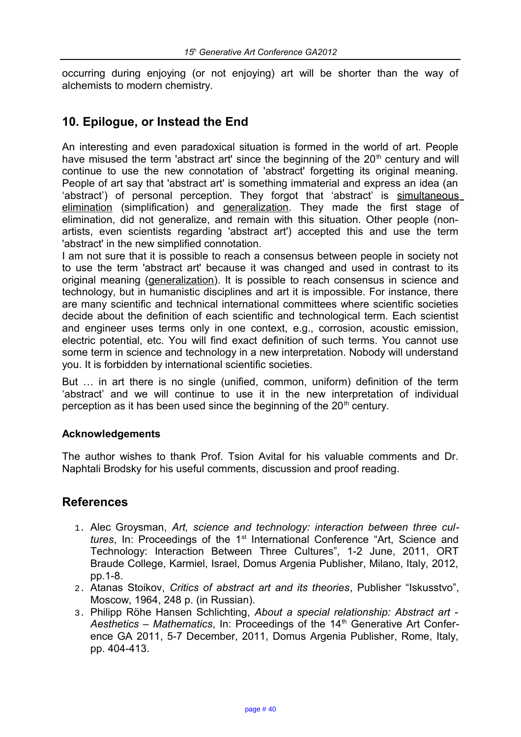occurring during enjoying (or not enjoying) art will be shorter than the way of alchemists to modern chemistry.

#### **10. Epilogue, or Instead the End**

An interesting and even paradoxical situation is formed in the world of art. People have misused the term 'abstract art' since the beginning of the  $20<sup>th</sup>$  century and will continue to use the new connotation of 'abstract' forgetting its original meaning. People of art say that 'abstract art' is something immaterial and express an idea (an 'abstract') of personal perception. They forgot that 'abstract' is simultaneous elimination (simplification) and generalization. They made the first stage of elimination, did not generalize, and remain with this situation. Other people (nonartists, even scientists regarding 'abstract art') accepted this and use the term 'abstract' in the new simplified connotation.

I am not sure that it is possible to reach a consensus between people in society not to use the term 'abstract art' because it was changed and used in contrast to its original meaning (generalization). It is possible to reach consensus in science and technology, but in humanistic disciplines and art it is impossible. For instance, there are many scientific and technical international committees where scientific societies decide about the definition of each scientific and technological term. Each scientist and engineer uses terms only in one context, e.g., corrosion, acoustic emission, electric potential, etc. You will find exact definition of such terms. You cannot use some term in science and technology in a new interpretation. Nobody will understand you. It is forbidden by international scientific societies.

But … in art there is no single (unified, common, uniform) definition of the term 'abstract' and we will continue to use it in the new interpretation of individual perception as it has been used since the beginning of the  $20<sup>th</sup>$  century.

#### **Acknowledgements**

The author wishes to thank Prof. Tsion Avital for his valuable comments and Dr. Naphtali Brodsky for his useful comments, discussion and proof reading.

#### **References**

- 1. Alec Groysman, *Art, science and technology: interaction between three cultures*, In: Proceedings of the 1<sup>st</sup> International Conference "Art, Science and Technology: Interaction Between Three Cultures", 1-2 June, 2011, ORT Braude College, Karmiel, Israel, Domus Argenia Publisher, Milano, Italy, 2012, pp.1-8.
- 2. Atanas Stoikov, *Critics of abstract art and its theories*, Publisher "Iskusstvo", Moscow, 1964, 248 p. (in Russian).
- 3. Philipp Röhe Hansen Schlichting, *About a special relationship: Abstract art*  Aesthetics – Mathematics, In: Proceedings of the 14<sup>th</sup> Generative Art Conference GA 2011, 5-7 December, 2011, Domus Argenia Publisher, Rome, Italy, pp. 404-413.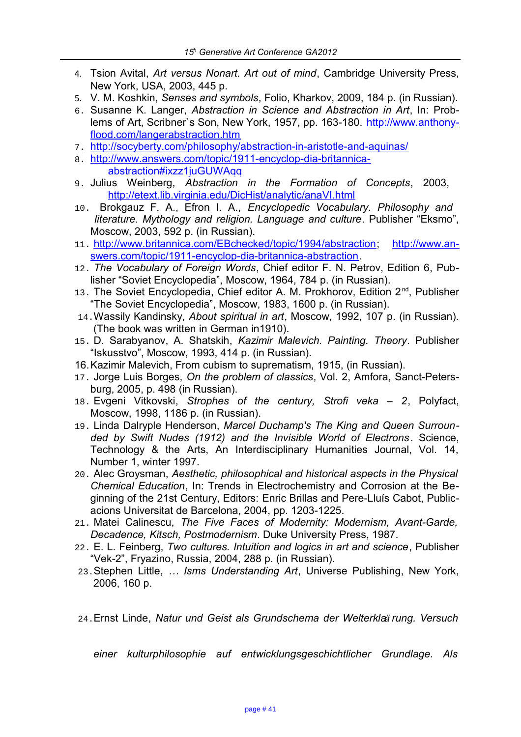- 4. Tsion Avital, *Art versus Nonart. Art out of mind*, Cambridge University Press, New York, USA, 2003, 445 p.
- 5. V. M. Koshkin, *Senses and symbols*, Folio, Kharkov, 2009, 184 p. (in Russian).
- 6. Susanne K. Langer, *Abstraction in Science and Abstraction in Art*, In: Problems of Art, Scribner`s Son, New York, 1957, pp. 163-180. [http://www.anthony](http://www.anthonyflood.com/langerabstraction.htm)[flood.com/langerabstraction.htm](http://www.anthonyflood.com/langerabstraction.htm)
- 7. <http://socyberty.com/philosophy/abstraction-in-aristotle-and-aquinas/>
- 8. [http://www.answers.com/topic/1911-encyclop-dia-britannica](http://www.answers.com/topic/1911-encyclop-dia-britannica-%0B%20%20%20%20%20%20abstraction#ixzz1juGUWAqq)  [abstraction#ixzz1juGUWAqq](http://www.answers.com/topic/1911-encyclop-dia-britannica-%0B%20%20%20%20%20%20abstraction#ixzz1juGUWAqq)
- 9. Julius Weinberg, *Abstraction in the Formation of Concepts*, 2003, <http://etext.lib.virginia.edu/DicHist/analytic/anaVI.html>
- 10. Brokgauz F. A., Efron I. A., *Encyclopedic Vocabulary. Philosophy and literature. Mythology and religion. Language and culture*. Publisher "Eksmo", Moscow, 2003, 592 p. (in Russian).
- 11. [http://www.britannica.com/EBchecked/topic/1994/abstraction;](http://www.britannica.com/EBchecked/topic/1994/abstraction) [http://www.an](http://www.answers.com/topic/1911-encyclop-dia-britannica-abstraction)[swers.com/topic/1911-encyclop-dia-britannica-abstraction.](http://www.answers.com/topic/1911-encyclop-dia-britannica-abstraction)
- 12. *The Vocabulary of Foreign Words*, Chief editor F. N. Petrov, Edition 6, Publisher "Soviet Encyclopedia", Moscow, 1964, 784 p. (in Russian).
- 13. The Soviet Encyclopedia, Chief editor A. M. Prokhorov, Edition 2<sup>nd</sup>, Publisher "The Soviet Encyclopedia", Moscow, 1983, 1600 p. (in Russian).
- 14.Wassily Kandinsky, *About spiritual in art*, Moscow, 1992, 107 p. (in Russian). (The book was written in German in1910).
- 15. D. Sarabyanov, A. Shatskih, *Kazimir Malevich. Painting. Theory*. Publisher "Iskusstvo", Moscow, 1993, 414 p. (in Russian).
- 16.Kazimir Malevich, From cubism to suprematism, 1915, (in Russian).
- 17. Jorge Luis Borges, *On the problem of classics*, Vol. 2, Amfora, Sanct-Petersburg, 2005, p. 498 (in Russian).
- 18. Evgeni Vitkovski, *Strophes of the century, Strofi veka 2*, Polyfact, Moscow, 1998, 1186 p. (in Russian).
- 19. Linda Dalryple Henderson, *Marcel Duchamp's The King and Queen Surrounded by Swift Nudes (1912) and the Invisible World of Electrons*. Science, Technology & the Arts, An Interdisciplinary Humanities Journal, Vol. 14, Number 1, winter 1997.
- 20. Alec Groysman, *Aesthetic, philosophical and historical aspects in the Physical Chemical Education*, In: Trends in Electrochemistry and Corrosion at the Beginning of the 21st Century, Editors: Enric Brillas and Pere-Lluís Cabot, Publicacions Universitat de Barcelona, 2004, pp. 1203-1225.
- 21. Matei Calinescu, *The Five Faces of Modernity: Modernism, Avant-Garde, Decadence, Kitsch, Postmodernism*. Duke University Press, 1987.
- 22. E. L. Feinberg, *Two cultures. Intuition and logics in art and science*, Publisher "Vek-2", Fryazino, Russia, 2004, 288 p. (in Russian).
- 23.Stephen Little, *… Isms Understanding Art*, Universe Publishing, New York, 2006, 160 p.
- 24.[Ernst Linde,](http://www.worldcat.org/search?q=au%3ALinde%2C+Ernst%2C&qt=hot_author) *Natur und Geist als Grundschema der Welterkla*<sup>a</sup> *rung. Versuch*

*einer kulturphilosophie auf entwicklungsgeschichtlicher Grundlage. Als*